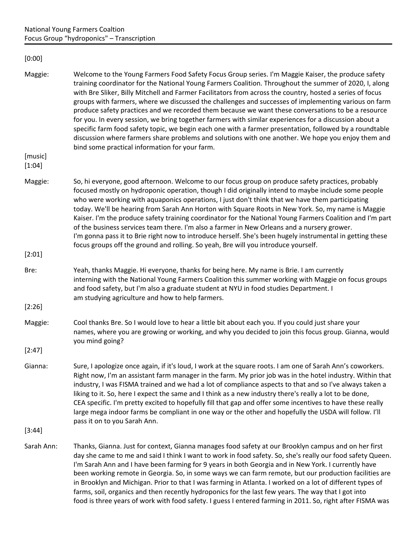## [0:00]

Maggie: Welcome to the Young Farmers Food Safety Focus Group series. I'm Maggie Kaiser, the produce safety training coordinator for the National Young Farmers Coalition. Throughout the summer of 2020, I, along with Bre Sliker, Billy Mitchell and Farmer Facilitators from across the country, hosted a series of focus groups with farmers, where we discussed the challenges and successes of implementing various on farm produce safety practices and we recorded them because we want these conversations to be a resource for you. In every session, we bring together farmers with similar experiences for a discussion about a specific farm food safety topic, we begin each one with a farmer presentation, followed by a roundtable discussion where farmers share problems and solutions with one another. We hope you enjoy them and bind some practical information for your farm.

[music] [1:04]

Maggie: So, hi everyone, good afternoon. Welcome to our focus group on produce safety practices, probably focused mostly on hydroponic operation, though I did originally intend to maybe include some people who were working with aquaponics operations, I just don't think that we have them participating today. We'll be hearing from Sarah Ann Horton with Square Roots in New York. So, my name is Maggie Kaiser. I'm the produce safety training coordinator for the National Young Farmers Coalition and I'm part of the business services team there. I'm also a farmer in New Orleans and a nursery grower. I'm gonna pass it to Brie right now to introduce herself. She's been hugely instrumental in getting these focus groups off the ground and rolling. So yeah, Bre will you introduce yourself.

[2:01]

Bre: Yeah, thanks Maggie. Hi everyone, thanks for being here. My name is Brie. I am currently interning with the National Young Farmers Coalition this summer working with Maggie on focus groups and food safety, but I'm also a graduate student at NYU in food studies Department. I am studying agriculture and how to help farmers.

[2:26]

Maggie: Cool thanks Bre. So I would love to hear a little bit about each you. If you could just share your names, where you are growing or working, and why you decided to join this focus group. Gianna, would you mind going?

[2:47]

Gianna: Sure, I apologize once again, if it's loud, I work at the square roots. I am one of Sarah Ann's coworkers. Right now, I'm an assistant farm manager in the farm. My prior job was in the hotel industry. Within that industry, I was FISMA trained and we had a lot of compliance aspects to that and so I've always taken a liking to it. So, here I expect the same and I think as a new industry there's really a lot to be done, CEA specific. I'm pretty excited to hopefully fill that gap and offer some incentives to have these really large mega indoor farms be compliant in one way or the other and hopefully the USDA will follow. I'll pass it on to you Sarah Ann.

[3:44]

Sarah Ann: Thanks, Gianna. Just for context, Gianna manages food safety at our Brooklyn campus and on her first day she came to me and said I think I want to work in food safety. So, she's really our food safety Queen. I'm Sarah Ann and I have been farming for 9 years in both Georgia and in New York. I currently have been working remote in Georgia. So, in some ways we can farm remote, but our production facilities are in Brooklyn and Michigan. Prior to that I was farming in Atlanta. I worked on a lot of different types of farms, soil, organics and then recently hydroponics for the last few years. The way that I got into food is three years of work with food safety. I guess I entered farming in 2011. So, right after FISMA was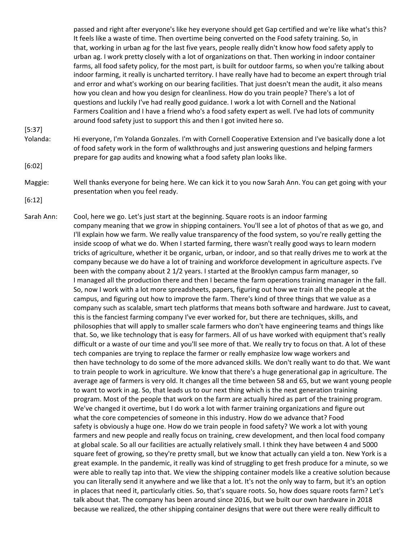passed and right after everyone's like hey everyone should get Gap certified and we're like what's this? It feels like a waste of time. Then overtime being converted on the Food safety training. So, in that, working in urban ag for the last five years, people really didn't know how food safety apply to urban ag. I work pretty closely with a lot of organizations on that. Then working in indoor container farms, all food safety policy, for the most part, is built for outdoor farms, so when you're talking about indoor farming, it really is uncharted territory. I have really have had to become an expert through trial and error and what's working on our bearing facilities. That just doesn't mean the audit, it also means how you clean and how you design for cleanliness. How do you train people? There's a lot of questions and luckily I've had really good guidance. I work a lot with Cornell and the National Farmers Coalition and I have a friend who's a food safety expert as well. I've had lots of community around food safety just to support this and then I got invited here so.

[5:37]

Yolanda: Hi everyone, I'm Yolanda Gonzales. I'm with Cornell Cooperative Extension and I've basically done a lot

[6:02]

Maggie: Well thanks everyone for being here. We can kick it to you now Sarah Ann. You can get going with your presentation when you feel ready.

of food safety work in the form of walkthroughs and just answering questions and helping farmers

prepare for gap audits and knowing what a food safety plan looks like.

[6:12]

Sarah Ann: Cool, here we go. Let's just start at the beginning. Square roots is an indoor farming company meaning that we grow in shipping containers. You'll see a lot of photos of that as we go, and I'll explain how we farm. We really value transparency of the food system, so you're really getting the inside scoop of what we do. When I started farming, there wasn't really good ways to learn modern tricks of agriculture, whether it be organic, urban, or indoor, and so that really drives me to work at the company because we do have a lot of training and workforce development in agriculture aspects. I've been with the company about 2 1/2 years. I started at the Brooklyn campus farm manager, so I managed all the production there and then I became the farm operations training manager in the fall. So, now I work with a lot more spreadsheets, papers, figuring out how we train all the people at the campus, and figuring out how to improve the farm. There's kind of three things that we value as a company such as scalable, smart tech platforms that means both software and hardware. Just to caveat, this is the fanciest farming company I've ever worked for, but there are techniques, skills, and philosophies that will apply to smaller scale farmers who don't have engineering teams and things like that. So, we like technology that is easy for farmers. All of us have worked with equipment that's really difficult or a waste of our time and you'll see more of that. We really try to focus on that. A lot of these tech companies are trying to replace the farmer or really emphasize low wage workers and then have technology to do some of the more advanced skills. We don't really want to do that. We want to train people to work in agriculture. We know that there's a huge generational gap in agriculture. The average age of farmers is very old. It changes all the time between 58 and 65, but we want young people to want to work in ag. So, that leads us to our next thing which is the next generation training program. Most of the people that work on the farm are actually hired as part of the training program. We've changed it overtime, but I do work a lot with farmer training organizations and figure out what the core competencies of someone in this industry. How do we advance that? Food safety is obviously a huge one. How do we train people in food safety? We work a lot with young farmers and new people and really focus on training, crew development, and then local food company at global scale. So all our facilities are actually relatively small. I think they have between 4 and 5000 square feet of growing, so they're pretty small, but we know that actually can yield a ton. New York is a great example. In the pandemic, it really was kind of struggling to get fresh produce for a minute, so we were able to really tap into that. We view the shipping container models like a creative solution because you can literally send it anywhere and we like that a lot. It's not the only way to farm, but it's an option in places that need it, particularly cities. So, that's square roots. So, how does square roots farm? Let's talk about that. The company has been around since 2016, but we built our own hardware in 2018 because we realized, the other shipping container designs that were out there were really difficult to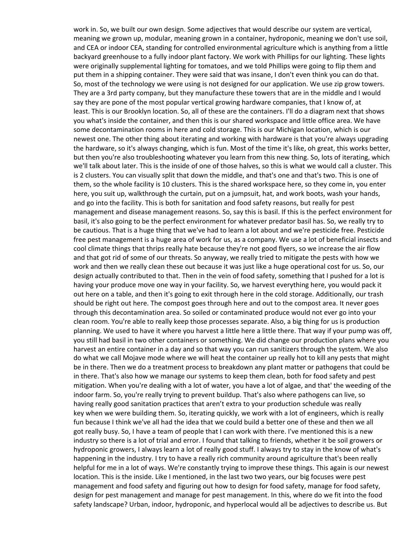work in. So, we built our own design. Some adjectives that would describe our system are vertical, meaning we grown up, modular, meaning grown in a container, hydroponic, meaning we don't use soil, and CEA or indoor CEA, standing for controlled environmental agriculture which is anything from a little backyard greenhouse to a fully indoor plant factory. We work with Phillips for our lighting. These lights were originally supplemental lighting for tomatoes, and we told Phillips were going to flip them and put them in a shipping container. They were said that was insane, I don't even think you can do that. So, most of the technology we were using is not designed for our application. We use zip grow towers. They are a 3rd party company, but they manufacture these towers that are in the middle and I would say they are pone of the most popular vertical growing hardware companies, that I know of, at least. This is our Brooklyn location. So, all of these are the containers. I'll do a diagram next that shows you what's inside the container, and then this is our shared workspace and little office area. We have some decontamination rooms in here and cold storage. This is our Michigan location, which is our newest one. The other thing about iterating and working with hardware is that you're always upgrading the hardware, so it's always changing, which is fun. Most of the time it's like, oh great, this works better, but then you're also troubleshooting whatever you learn from this new thing. So, lots of iterating, which we'll talk about later. This is the inside of one of those halves, so this is what we would call a cluster. This is 2 clusters. You can visually split that down the middle, and that's one and that's two. This is one of them, so the whole facility is 10 clusters. This is the shared workspace here, so they come in, you enter here, you suit up, walkthrough the curtain, put on a jumpsuit, hat, and work boots, wash your hands, and go into the facility. This is both for sanitation and food safety reasons, but really for pest management and disease management reasons. So, say this is basil. If this is the perfect environment for basil, it's also going to be the perfect environment for whatever predator basil has. So, we really try to be cautious. That is a huge thing that we've had to learn a lot about and we're pesticide free. Pesticide free pest management is a huge area of work for us, as a company. We use a lot of beneficial insects and cool climate things that thrips really hate because they're not good flyers, so we increase the air flow and that got rid of some of our threats. So anyway, we really tried to mitigate the pests with how we work and then we really clean these out because it was just like a huge operational cost for us. So, our design actually contributed to that. Then in the vein of food safety, something that I pushed for a lot is having your produce move one way in your facility. So, we harvest everything here, you would pack it out here on a table, and then it's going to exit through here in the cold storage. Additionally, our trash should be right out here. The compost goes through here and out to the compost area. It never goes through this decontamination area. So soiled or contaminated produce would not ever go into your clean room. You're able to really keep those processes separate. Also, a big thing for us is production planning. We used to have it where you harvest a little here a little there. That way if your pump was off, you still had basil in two other containers or something. We did change our production plans where you harvest an entire container in a day and so that way you can run sanitizers through the system. We also do what we call Mojave mode where we will heat the container up really hot to kill any pests that might be in there. Then we do a treatment process to breakdown any plant matter or pathogens that could be in there. That's also how we manage our systems to keep them clean, both for food safety and pest mitigation. When you're dealing with a lot of water, you have a lot of algae, and that' the weeding of the indoor farm. So, you're really trying to prevent buildup. That's also where pathogens can live, so having really good sanitation practices that aren't extra to your production schedule was really key when we were building them. So, iterating quickly, we work with a lot of engineers, which is really fun because I think we've all had the idea that we could build a better one of these and then we all got really busy. So, I have a team of people that I can work with there. I've mentioned this is a new industry so there is a lot of trial and error. I found that talking to friends, whether it be soil growers or hydroponic growers, I always learn a lot of really good stuff. I always try to stay in the know of what's happening in the industry. I try to have a really rich community around agriculture that's been really helpful for me in a lot of ways. We're constantly trying to improve these things. This again is our newest location. This is the inside. Like I mentioned, in the last two two years, our big focuses were pest management and food safety and figuring out how to design for food safety, manage for food safety, design for pest management and manage for pest management. In this, where do we fit into the food safety landscape? Urban, indoor, hydroponic, and hyperlocal would all be adjectives to describe us. But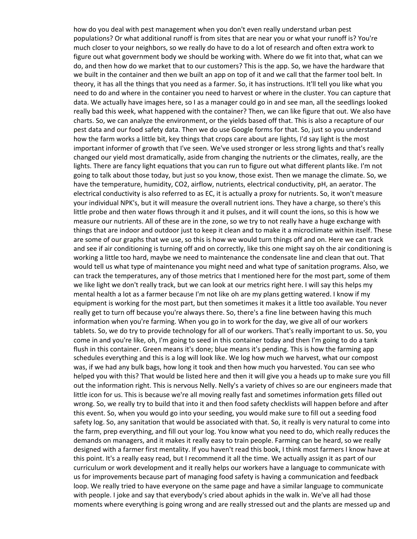how do you deal with pest management when you don't even really understand urban pest populations? Or what additional runoff is from sites that are near you or what your runoff is? You're much closer to your neighbors, so we really do have to do a lot of research and often extra work to figure out what government body we should be working with. Where do we fit into that, what can we do, and then how do we market that to our customers? This is the app. So, we have the hardware that we built in the container and then we built an app on top of it and we call that the farmer tool belt. In theory, it has all the things that you need as a farmer. So, it has instructions. It'll tell you like what you need to do and where in the container you need to harvest or where in the cluster. You can capture that data. We actually have images here, so I as a manager could go in and see man, all the seedlings looked really bad this week, what happened with the container? Then, we can like figure that out. We also have charts. So, we can analyze the environment, or the yields based off that. This is also a recapture of our pest data and our food safety data. Then we do use Google forms for that. So, just so you understand how the farm works a little bit, key things that crops care about are lights, I'd say light is the most important informer of growth that I've seen. We've used stronger or less strong lights and that's really changed our yield most dramatically, aside from changing the nutrients or the climates, really, are the lights. There are fancy light equations that you can run to figure out what different plants like. I'm not going to talk about those today, but just so you know, those exist. Then we manage the climate. So, we have the temperature, humidity, CO2, airflow, nutrients, electrical conductivity, pH, an aerator. The electrical conductivity is also referred to as EC, it is actually a proxy for nutrients. So, it won't measure your individual NPK's, but it will measure the overall nutrient ions. They have a charge, so there's this little probe and then water flows through it and it pulses, and it will count the ions, so this is how we measure our nutrients. All of these are in the zone, so we try to not really have a huge exchange with things that are indoor and outdoor just to keep it clean and to make it a microclimate within itself. These are some of our graphs that we use, so this is how we would turn things off and on. Here we can track and see if air conditioning is turning off and on correctly, like this one might say oh the air conditioning is working a little too hard, maybe we need to maintenance the condensate line and clean that out. That would tell us what type of maintenance you might need and what type of sanitation programs. Also, we can track the temperatures, any of those metrics that I mentioned here for the most part, some of them we like light we don't really track, but we can look at our metrics right here. I will say this helps my mental health a lot as a farmer because I'm not like oh are my plans getting watered. I know if my equipment is working for the most part, but then sometimes it makes it a little too available. You never really get to turn off because you're always there. So, there's a fine line between having this much information when you're farming. When you go in to work for the day, we give all of our workers tablets. So, we do try to provide technology for all of our workers. That's really important to us. So, you come in and you're like, oh, I'm going to seed in this container today and then I'm going to do a tank flush in this container. Green means it's done; blue means it's pending. This is how the farming app schedules everything and this is a log will look like. We log how much we harvest, what our compost was, if we had any bulk bags, how long it took and then how much you harvested. You can see who helped you with this? That would be listed here and then it will give you a heads up to make sure you fill out the information right. This is nervous Nelly. Nelly's a variety of chives so are our engineers made that little icon for us. This is because we're all moving really fast and sometimes information gets filled out wrong. So, we really try to build that into it and then food safety checklists will happen before and after this event. So, when you would go into your seeding, you would make sure to fill out a seeding food safety log. So, any sanitation that would be associated with that. So, it really is very natural to come into the farm, prep everything, and fill out your log. You know what you need to do, which really reduces the demands on managers, and it makes it really easy to train people. Farming can be heard, so we really designed with a farmer first mentality. If you haven't read this book, I think most farmers I know have at this point. It's a really easy read, but I recommend it all the time. We actually assign it as part of our curriculum or work development and it really helps our workers have a language to communicate with us for improvements because part of managing food safety is having a communication and feedback loop. We really tried to have everyone on the same page and have a similar language to communicate with people. I joke and say that everybody's cried about aphids in the walk in. We've all had those moments where everything is going wrong and are really stressed out and the plants are messed up and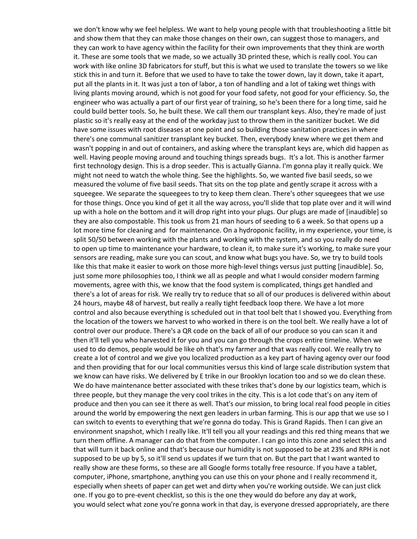we don't know why we feel helpless. We want to help young people with that troubleshooting a little bit and show them that they can make those changes on their own, can suggest those to managers, and they can work to have agency within the facility for their own improvements that they think are worth it. These are some tools that we made, so we actually 3D printed these, which is really cool. You can work with like online 3D fabricators for stuff, but this is what we used to translate the towers so we like stick this in and turn it. Before that we used to have to take the tower down, lay it down, take it apart, put all the plants in it. It was just a ton of labor, a ton of handling and a lot of taking wet things with living plants moving around, which is not good for your food safety, not good for your efficiency. So, the engineer who was actually a part of our first year of training, so he's been there for a long time, said he could build better tools. So, he built these. We call them our transplant keys. Also, they're made of just plastic so it's really easy at the end of the workday just to throw them in the sanitizer bucket. We did have some issues with root diseases at one point and so building those sanitation practices in where there's one communal sanitizer transplant key bucket. Then, everybody knew where we get them and wasn't popping in and out of containers, and asking where the transplant keys are, which did happen as well. Having people moving around and touching things spreads bugs. It's a lot. This is another farmer first technology design. This is a drop seeder. This is actually Gianna. I'm gonna play it really quick. We might not need to watch the whole thing. See the highlights. So, we wanted five basil seeds, so we measured the volume of five basil seeds. That sits on the top plate and gently scrape it across with a squeegee. We separate the squeegees to try to keep them clean. There's other squeegees that we use for those things. Once you kind of get it all the way across, you'll slide that top plate over and it will wind up with a hole on the bottom and it will drop right into your plugs. Our plugs are made of [inaudible] so they are also compostable. This took us from 21 man hours of seeding to 6 a week. So that opens up a lot more time for cleaning and for maintenance. On a hydroponic facility, in my experience, your time, is split 50/50 between working with the plants and working with the system, and so you really do need to open up time to maintenance your hardware, to clean it, to make sure it's working, to make sure your sensors are reading, make sure you can scout, and know what bugs you have. So, we try to build tools like this that make it easier to work on those more high-level things versus just putting [inaudible]. So, just some more philosophies too, I think we all as people and what I would consider modern farming movements, agree with this, we know that the food system is complicated, things get handled and there's a lot of areas for risk. We really try to reduce that so all of our produces is delivered within about 24 hours, maybe 48 of harvest, but really a really tight feedback loop there. We have a lot more control and also because everything is scheduled out in that tool belt that I showed you. Everything from the location of the towers we harvest to who worked in there is on the tool belt. We really have a lot of control over our produce. There's a QR code on the back of all of our produce so you can scan it and then it'll tell you who harvested it for you and you can go through the crops entire timeline. When we used to do demos, people would be like oh that's my farmer and that was really cool. We really try to create a lot of control and we give you localized production as a key part of having agency over our food and then providing that for our local communities versus this kind of large scale distribution system that we know can have risks. We delivered by E trike in our Brooklyn location too and so we do clean these. We do have maintenance better associated with these trikes that's done by our logistics team, which is three people, but they manage the very cool trikes in the city. This is a lot code that's on any item of produce and then you can see it there as well. That's our mission, to bring local real food people in cities around the world by empowering the next gen leaders in urban farming. This is our app that we use so I can switch to events to everything that we're gonna do today. This is Grand Rapids. Then I can give an environment snapshot, which I really like. It'll tell you all your readings and this red thing means that we turn them offline. A manager can do that from the computer. I can go into this zone and select this and that will turn it back online and that's because our humidity is not supposed to be at 23% and RPH is not supposed to be up by 5, so it'll send us updates if we turn that on. But the part that I want wanted to really show are these forms, so these are all Google forms totally free resource. If you have a tablet, computer, iPhone, smartphone, anything you can use this on your phone and I really recommend it, especially when sheets of paper can get wet and dirty when you're working outside. We can just click one. If you go to pre-event checklist, so this is the one they would do before any day at work, you would select what zone you're gonna work in that day, is everyone dressed appropriately, are there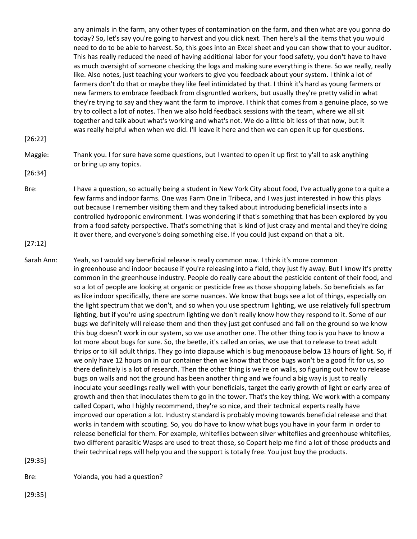any animals in the farm, any other types of contamination on the farm, and then what are you gonna do today? So, let's say you're going to harvest and you click next. Then here's all the items that you would need to do to be able to harvest. So, this goes into an Excel sheet and you can show that to your auditor. This has really reduced the need of having additional labor for your food safety, you don't have to have as much oversight of someone checking the logs and making sure everything is there. So we really, really like. Also notes, just teaching your workers to give you feedback about your system. I think a lot of farmers don't do that or maybe they like feel intimidated by that. I think it's hard as young farmers or new farmers to embrace feedback from disgruntled workers, but usually they're pretty valid in what they're trying to say and they want the farm to improve. I think that comes from a genuine place, so we try to collect a lot of notes. Then we also hold feedback sessions with the team, where we all sit together and talk about what's working and what's not. We do a little bit less of that now, but it was really helpful when when we did. I'll leave it here and then we can open it up for questions.

[26:22]

Maggie: Thank you. I for sure have some questions, but I wanted to open it up first to y'all to ask anything

or bring up any topics.

[26:34]

Bre: I have a question, so actually being a student in New York City about food, I've actually gone to a quite a few farms and indoor farms. One was Farm One in Tribeca, and I was just interested in how this plays out because I remember visiting them and they talked about introducing beneficial insects into a controlled hydroponic environment. I was wondering if that's something that has been explored by you from a food safety perspective. That's something that is kind of just crazy and mental and they're doing it over there, and everyone's doing something else. If you could just expand on that a bit.

[27:12]

Sarah Ann: Yeah, so I would say beneficial release is really common now. I think it's more common in greenhouse and indoor because if you're releasing into a field, they just fly away. But I know it's pretty common in the greenhouse industry. People do really care about the pesticide content of their food, and so a lot of people are looking at organic or pesticide free as those shopping labels. So beneficials as far as like indoor specifically, there are some nuances. We know that bugs see a lot of things, especially on the light spectrum that we don't, and so when you use spectrum lighting, we use relatively full spectrum lighting, but if you're using spectrum lighting we don't really know how they respond to it. Some of our bugs we definitely will release them and then they just get confused and fall on the ground so we know this bug doesn't work in our system, so we use another one. The other thing too is you have to know a lot more about bugs for sure. So, the beetle, it's called an orias, we use that to release to treat adult thrips or to kill adult thrips. They go into diapause which is bug menopause below 13 hours of light. So, if we only have 12 hours on in our container then we know that those bugs won't be a good fit for us, so there definitely is a lot of research. Then the other thing is we're on walls, so figuring out how to release bugs on walls and not the ground has been another thing and we found a big way is just to really inoculate your seedlings really well with your beneficials, target the early growth of light or early area of growth and then that inoculates them to go in the tower. That's the key thing. We work with a company called Copart, who I highly recommend, they're so nice, and their technical experts really have improved our operation a lot. Industry standard is probably moving towards beneficial release and that works in tandem with scouting. So, you do have to know what bugs you have in your farm in order to release beneficial for them. For example, whiteflies between silver whiteflies and greenhouse whiteflies, two different parasitic Wasps are used to treat those, so Copart help me find a lot of those products and their technical reps will help you and the support is totally free. You just buy the products.

[29:35]

Bre: Yolanda, you had a question?

[29:35]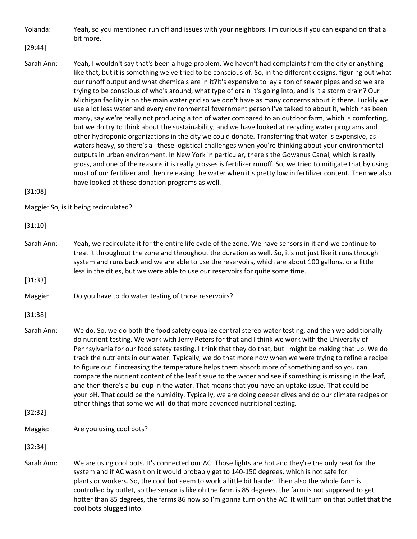Yolanda: Yeah, so you mentioned run off and issues with your neighbors. I'm curious if you can expand on that a bit more.

[29:44]

Sarah Ann: Yeah, I wouldn't say that's been a huge problem. We haven't had complaints from the city or anything like that, but it is something we've tried to be conscious of. So, in the different designs, figuring out what our runoff output and what chemicals are in it?It's expensive to lay a ton of sewer pipes and so we are trying to be conscious of who's around, what type of drain it's going into, and is it a storm drain? Our Michigan facility is on the main water grid so we don't have as many concerns about it there. Luckily we use a lot less water and every environmental fovernment person I've talked to about it, which has been many, say we're really not producing a ton of water compared to an outdoor farm, which is comforting, but we do try to think about the sustainability, and we have looked at recycling water programs and other hydroponic organizations in the city we could donate. Transferring that water is expensive, as waters heavy, so there's all these logistical challenges when you're thinking about your environmental outputs in urban environment. In New York in particular, there's the Gowanus Canal, which is really gross, and one of the reasons it is really grosses is fertilizer runoff. So, we tried to mitigate that by using most of our fertilizer and then releasing the water when it's pretty low in fertilizer content. Then we also have looked at these donation programs as well.

[31:08]

Maggie: So, is it being recirculated?

[31:10]

- Sarah Ann: Yeah, we recirculate it for the entire life cycle of the zone. We have sensors in it and we continue to treat it throughout the zone and throughout the duration as well. So, it's not just like it runs through system and runs back and we are able to use the reservoirs, which are about 100 gallons, or a little less in the cities, but we were able to use our reservoirs for quite some time.
- [31:33]
- Maggie: Do you have to do water testing of those reservoirs?

[31:38]

Sarah Ann: We do. So, we do both the food safety equalize central stereo water testing, and then we additionally do nutrient testing. We work with Jerry Peters for that and I think we work with the University of Pennsylvania for our food safety testing. I think that they do that, but I might be making that up. We do track the nutrients in our water. Typically, we do that more now when we were trying to refine a recipe to figure out if increasing the temperature helps them absorb more of something and so you can compare the nutrient content of the leaf tissue to the water and see if something is missing in the leaf, and then there's a buildup in the water. That means that you have an uptake issue. That could be your pH. That could be the humidity. Typically, we are doing deeper dives and do our climate recipes or other things that some we will do that more advanced nutritional testing.

[32:32]

Maggie: Are you using cool bots?

[32:34]

Sarah Ann: We are using cool bots. It's connected our AC. Those lights are hot and they're the only heat for the system and if AC wasn't on it would probably get to 140-150 degrees, which is not safe for plants or workers. So, the cool bot seem to work a little bit harder. Then also the whole farm is controlled by outlet, so the sensor is like oh the farm is 85 degrees, the farm is not supposed to get hotter than 85 degrees, the farms 86 now so I'm gonna turn on the AC. It will turn on that outlet that the cool bots plugged into.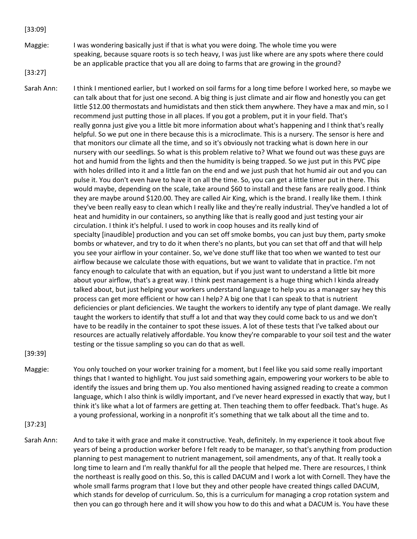[33:09]

Maggie: I was wondering basically just if that is what you were doing. The whole time you were speaking, because square roots is so tech heavy, I was just like where are any spots where there could be an applicable practice that you all are doing to farms that are growing in the ground?

[33:27]

Sarah Ann: I think I mentioned earlier, but I worked on soil farms for a long time before I worked here, so maybe we can talk about that for just one second. A big thing is just climate and air flow and honestly you can get little \$12.00 thermostats and humidistats and then stick them anywhere. They have a max and min, so I recommend just putting those in all places. If you got a problem, put it in your field. That's really gonna just give you a little bit more information about what's happening and I think that's really helpful. So we put one in there because this is a microclimate. This is a nursery. The sensor is here and that monitors our climate all the time, and so it's obviously not tracking what is down here in our nursery with our seedlings. So what is this problem relative to? What we found out was these guys are hot and humid from the lights and then the humidity is being trapped. So we just put in this PVC pipe with holes drilled into it and a little fan on the end and we just push that hot humid air out and you can pulse it. You don't even have to have it on all the time. So, you can get a little timer put in there. This would maybe, depending on the scale, take around \$60 to install and these fans are really good. I think they are maybe around \$120.00. They are called Air King, which is the brand. I really like them. I think they've been really easy to clean which I really like and they're really industrial. They've handled a lot of heat and humidity in our containers, so anything like that is really good and just testing your air circulation. I think it's helpful. I used to work in coop houses and its really kind of specialty [inaudible] production and you can set off smoke bombs, you can just buy them, party smoke bombs or whatever, and try to do it when there's no plants, but you can set that off and that will help you see your airflow in your container. So, we've done stuff like that too when we wanted to test our airflow because we calculate those with equations, but we want to validate that in practice. I'm not fancy enough to calculate that with an equation, but if you just want to understand a little bit more about your airflow, that's a great way. I think pest management is a huge thing which I kinda already talked about, but just helping your workers understand language to help you as a manager say hey this process can get more efficient or how can I help? A big one that I can speak to that is nutrient deficiencies or plant deficiencies. We taught the workers to identify any type of plant damage. We really taught the workers to identify that stuff a lot and that way they could come back to us and we don't have to be readily in the container to spot these issues. A lot of these tests that I've talked about our resources are actually relatively affordable. You know they're comparable to your soil test and the water testing or the tissue sampling so you can do that as well.

[39:39]

Maggie: You only touched on your worker training for a moment, but I feel like you said some really important things that I wanted to highlight. You just said something again, empowering your workers to be able to identify the issues and bring them up. You also mentioned having assigned reading to create a common language, which I also think is wildly important, and I've never heard expressed in exactly that way, but I think it's like what a lot of farmers are getting at. Then teaching them to offer feedback. That's huge. As a young professional, working in a nonprofit it's something that we talk about all the time and to.

[37:23]

Sarah Ann: And to take it with grace and make it constructive. Yeah, definitely. In my experience it took about five years of being a production worker before I felt ready to be manager, so that's anything from production planning to pest management to nutrient management, soil amendments, any of that. It really took a long time to learn and I'm really thankful for all the people that helped me. There are resources, I think the northeast is really good on this. So, this is called DACUM and I work a lot with Cornell. They have the whole small farms program that I love but they and other people have created things called DACUM, which stands for develop of curriculum. So, this is a curriculum for managing a crop rotation system and then you can go through here and it will show you how to do this and what a DACUM is. You have these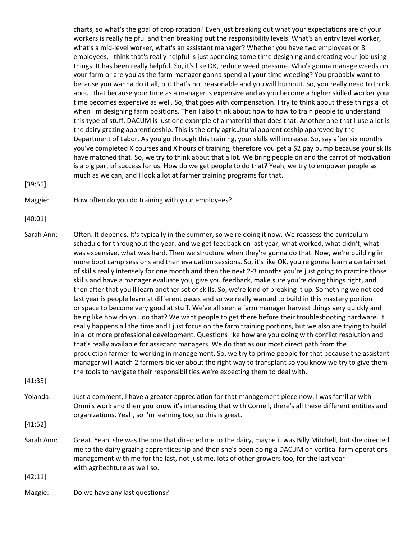charts, so what's the goal of crop rotation? Even just breaking out what your expectations are of your workers is really helpful and then breaking out the responsibility levels. What's an entry level worker, what's a mid-level worker, what's an assistant manager? Whether you have two employees or 8 employees, I think that's really helpful is just spending some time designing and creating your job using things. It has been really helpful. So, it's like OK, reduce weed pressure. Who's gonna manage weeds on your farm or are you as the farm manager gonna spend all your time weeding? You probably want to because you wanna do it all, but that's not reasonable and you will burnout. So, you really need to think about that because your time as a manager is expensive and as you become a higher skilled worker your time becomes expensive as well. So, that goes with compensation. I try to think about these things a lot when I'm designing farm positions. Then I also think about how to how to train people to understand this type of stuff. DACUM is just one example of a material that does that. Another one that I use a lot is the dairy grazing apprenticeship. This is the only agricultural apprenticeship approved by the Department of Labor. As you go through this training, your skills will increase. So, say after six months you've completed X courses and X hours of training, therefore you get a \$2 pay bump because your skills have matched that. So, we try to think about that a lot. We bring people on and the carrot of motivation is a big part of success for us. How do we get people to do that? Yeah, we try to empower people as much as we can, and I look a lot at farmer training programs for that.

[39:55]

Maggie: How often do you do training with your employees?

[40:01]

Sarah Ann: Often. It depends. It's typically in the summer, so we're doing it now. We reassess the curriculum schedule for throughout the year, and we get feedback on last year, what worked, what didn't, what was expensive, what was hard. Then we structure when they're gonna do that. Now, we're building in more boot camp sessions and then evaluation sessions. So, it's like OK, you're gonna learn a certain set of skills really intensely for one month and then the next 2-3 months you're just going to practice those skills and have a manager evaluate you, give you feedback, make sure you're doing things right, and then after that you'll learn another set of skills. So, we're kind of breaking it up. Something we noticed last year is people learn at different paces and so we really wanted to build in this mastery portion or space to become very good at stuff. We've all seen a farm manager harvest things very quickly and being like how do you do that? We want people to get there before their troubleshooting hardware. It really happens all the time and I just focus on the farm training portions, but we also are trying to build in a lot more professional development. Questions like how are you doing with conflict resolution and that's really available for assistant managers. We do that as our most direct path from the production farmer to working in management. So, we try to prime people for that because the assistant manager will watch 2 farmers bicker about the right way to transplant so you know we try to give them the tools to navigate their responsibilities we're expecting them to deal with.

[41:35]

Yolanda: Just a comment, I have a greater appreciation for that management piece now. I was familiar with Omni's work and then you know it's interesting that with Cornell, there's all these different entities and organizations. Yeah, so I'm learning too, so this is great.

[41:52]

Sarah Ann: Great. Yeah, she was the one that directed me to the dairy, maybe it was Billy Mitchell, but she directed me to the dairy grazing apprenticeship and then she's been doing a DACUM on vertical farm operations management with me for the last, not just me, lots of other growers too, for the last year with agritechture as well so.

[42:11]

Maggie: Do we have any last questions?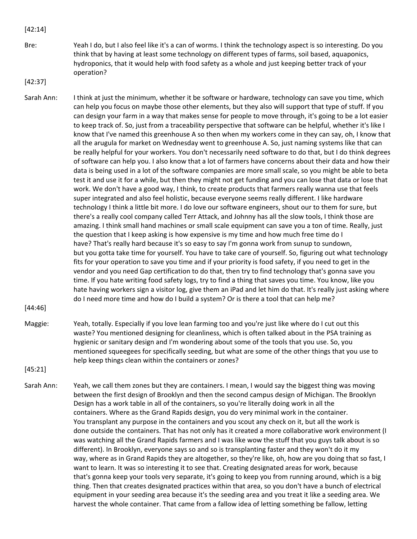## [42:14]

Bre: Yeah I do, but I also feel like it's a can of worms. I think the technology aspect is so interesting. Do you think that by having at least some technology on different types of farms, soil based, aquaponics, hydroponics, that it would help with food safety as a whole and just keeping better track of your operation?

## [42:37]

Sarah Ann: I think at just the minimum, whether it be software or hardware, technology can save you time, which can help you focus on maybe those other elements, but they also will support that type of stuff. If you can design your farm in a way that makes sense for people to move through, it's going to be a lot easier to keep track of. So, just from a traceability perspective that software can be helpful, whether it's like I know that I've named this greenhouse A so then when my workers come in they can say, oh, I know that all the arugula for market on Wednesday went to greenhouse A. So, just naming systems like that can be really helpful for your workers. You don't necessarily need software to do that, but I do think degrees of software can help you. I also know that a lot of farmers have concerns about their data and how their data is being used in a lot of the software companies are more small scale, so you might be able to beta test it and use it for a while, but then they might not get funding and you can lose that data or lose that work. We don't have a good way, I think, to create products that farmers really wanna use that feels super integrated and also feel holistic, because everyone seems really different. I like hardware technology I think a little bit more. I do love our software engineers, shout our to them for sure, but there's a really cool company called Terr Attack, and Johnny has all the slow tools, I think those are amazing. I think small hand machines or small scale equipment can save you a ton of time. Really, just the question that I keep asking is how expensive is my time and how much free time do I have? That's really hard because it's so easy to say I'm gonna work from sunup to sundown, but you gotta take time for yourself. You have to take care of yourself. So, figuring out what technology fits for your operation to save you time and if your priority is food safety, if you need to get in the vendor and you need Gap certification to do that, then try to find technology that's gonna save you time. If you hate writing food safety logs, try to find a thing that saves you time. You know, like you hate having workers sign a visitor log, give them an iPad and let him do that. It's really just asking where do I need more time and how do I build a system? Or is there a tool that can help me?

[44:46]

Maggie: Yeah, totally. Especially if you love lean farming too and you're just like where do I cut out this waste? You mentioned designing for cleanliness, which is often talked about in the PSA training as hygienic or sanitary design and I'm wondering about some of the tools that you use. So, you mentioned squeegees for specifically seeding, but what are some of the other things that you use to help keep things clean within the containers or zones?

[45:21]

Sarah Ann: Yeah, we call them zones but they are containers. I mean, I would say the biggest thing was moving between the first design of Brooklyn and then the second campus design of Michigan. The Brooklyn Design has a work table in all of the containers, so you're literally doing work in all the containers. Where as the Grand Rapids design, you do very minimal work in the container. You transplant any purpose in the containers and you scout any check on it, but all the work is done outside the containers. That has not only has it created a more collaborative work environment (I was watching all the Grand Rapids farmers and I was like wow the stuff that you guys talk about is so different). In Brooklyn, everyone says so and so is transplanting faster and they won't do it my way, where as in Grand Rapids they are altogether, so they're like, oh, how are you doing that so fast, I want to learn. It was so interesting it to see that. Creating designated areas for work, because that's gonna keep your tools very separate, it's going to keep you from running around, which is a big thing. Then that creates designated practices within that area, so you don't have a bunch of electrical equipment in your seeding area because it's the seeding area and you treat it like a seeding area. We harvest the whole container. That came from a fallow idea of letting something be fallow, letting